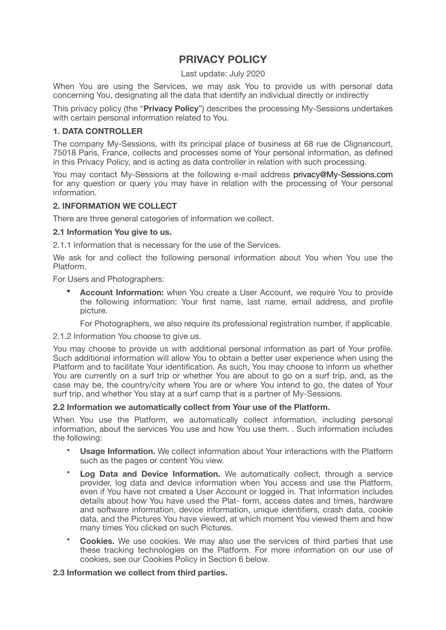# **PRIVACY POLICY**

## Last update: July 2020

When You are using the Services, we may ask You to provide us with personal data concerning You, designating all the data that identify an individual directly or indirectly

This privacy policy (the "**Privacy Policy**") describes the processing My-Sessions undertakes with certain personal information related to You.

## **1. DATA CONTROLLER**

The company My-Sessions, with its principal place of business at 68 rue de Clignancourt, 75018 Paris, France, collects and processes some of Your personal information, as defined in this Privacy Policy, and is acting as data controller in relation with such processing.

You may contact My-Sessions at the following e-mail address privacy@My-Sessions.com for any question or query you may have in relation with the processing of Your personal information.

## **2. INFORMATION WE COLLECT**

There are three general categories of information we collect.

### **2.1 Information You give to us.**

2.1.1 Information that is necessary for the use of the Services.

We ask for and collect the following personal information about You when You use the Platform.

For Users and Photographers:

• **Account Information:** when You create a User Account, we require You to provide the following information: Your first name, last name, email address, and profile picture.

For Photographers, we also require its professional registration number, if applicable.

2.1.2 Information You choose to give us.

You may choose to provide us with additional personal information as part of Your profile. Such additional information will allow You to obtain a better user experience when using the Platform and to facilitate Your identification. As such, You may choose to inform us whether You are currently on a surf trip or whether You are about to go on a surf trip, and, as the case may be, the country/city where You are or where You intend to go, the dates of Your surf trip, and whether You stay at a surf camp that is a partner of My-Sessions.

### **2.2 Information we automatically collect from Your use of the Platform.**

When You use the Platform, we automatically collect information, including personal information, about the services You use and how You use them. . Such information includes the following:

- **Usage Information.** We collect information about Your interactions with the Platform such as the pages or content You view.
- **Log Data and Device Information.** We automatically collect, through a service provider, log data and device information when You access and use the Platform, even if You have not created a User Account or logged in. That information includes details about how You have used the Plat- form, access dates and times, hardware and software information, device information, unique identifiers, crash data, cookie data, and the Pictures You have viewed, at which moment You viewed them and how many times You clicked on such Pictures.
- **Cookies.** We use cookies. We may also use the services of third parties that use these tracking technologies on the Platform. For more information on our use of cookies, see our Cookies Policy in Section 6 below.

### **2.3 Information we collect from third parties.**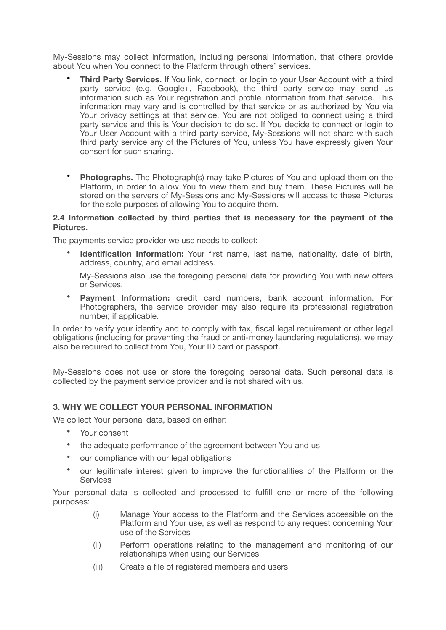My-Sessions may collect information, including personal information, that others provide about You when You connect to the Platform through others' services.

- **Third Party Services.** If You link, connect, or login to your User Account with a third party service (e.g. Google+, Facebook), the third party service may send us information such as Your registration and profile information from that service. This information may vary and is controlled by that service or as authorized by You via Your privacy settings at that service. You are not obliged to connect using a third party service and this is Your decision to do so. If You decide to connect or login to Your User Account with a third party service, My-Sessions will not share with such third party service any of the Pictures of You, unless You have expressly given Your consent for such sharing.
- **Photographs.** The Photograph(s) may take Pictures of You and upload them on the Platform, in order to allow You to view them and buy them. These Pictures will be stored on the servers of My-Sessions and My-Sessions will access to these Pictures for the sole purposes of allowing You to acquire them.

## **2.4 Information collected by third parties that is necessary for the payment of the Pictures.**

The payments service provider we use needs to collect:

• **Identification Information:** Your first name, last name, nationality, date of birth, address, country, and email address.

My-Sessions also use the foregoing personal data for providing You with new offers or Services.

• **Payment Information:** credit card numbers, bank account information. For Photographers, the service provider may also require its professional registration number, if applicable.

In order to verify your identity and to comply with tax, fiscal legal requirement or other legal obligations (including for preventing the fraud or anti-money laundering regulations), we may also be required to collect from You, Your ID card or passport.

My-Sessions does not use or store the foregoing personal data. Such personal data is collected by the payment service provider and is not shared with us.

# **3. WHY WE COLLECT YOUR PERSONAL INFORMATION**

We collect Your personal data, based on either:

- Your consent
- the adequate performance of the agreement between You and us
- our compliance with our legal obligations
- our legitimate interest given to improve the functionalities of the Platform or the **Services**

Your personal data is collected and processed to fulfill one or more of the following purposes:

- (i) Manage Your access to the Platform and the Services accessible on the Platform and Your use, as well as respond to any request concerning Your use of the Services
- (ii) Perform operations relating to the management and monitoring of our relationships when using our Services
- (iii) Create a file of registered members and users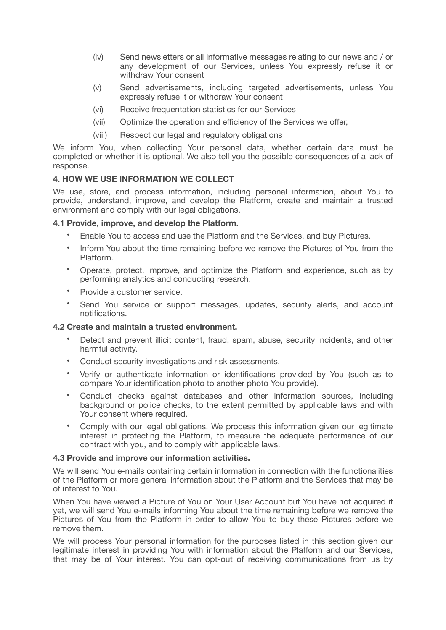- (iv) Send newsletters or all informative messages relating to our news and / or any development of our Services, unless You expressly refuse it or withdraw Your consent
- (v) Send advertisements, including targeted advertisements, unless You expressly refuse it or withdraw Your consent
- (vi) Receive frequentation statistics for our Services
- (vii) Optimize the operation and efficiency of the Services we offer,
- (viii) Respect our legal and regulatory obligations

We inform You, when collecting Your personal data, whether certain data must be completed or whether it is optional. We also tell you the possible consequences of a lack of response.

# **4. HOW WE USE INFORMATION WE COLLECT**

We use, store, and process information, including personal information, about You to provide, understand, improve, and develop the Platform, create and maintain a trusted environment and comply with our legal obligations.

# **4.1 Provide, improve, and develop the Platform.**

- Enable You to access and use the Platform and the Services, and buy Pictures.
- Inform You about the time remaining before we remove the Pictures of You from the Platform.
- Operate, protect, improve, and optimize the Platform and experience, such as by performing analytics and conducting research.
- Provide a customer service.
- Send You service or support messages, updates, security alerts, and account notifications.

## **4.2 Create and maintain a trusted environment.**

- Detect and prevent illicit content, fraud, spam, abuse, security incidents, and other harmful activity.
- Conduct security investigations and risk assessments.
- Verify or authenticate information or identifications provided by You (such as to compare Your identification photo to another photo You provide).
- Conduct checks against databases and other information sources, including background or police checks, to the extent permitted by applicable laws and with Your consent where required.
- Comply with our legal obligations. We process this information given our legitimate interest in protecting the Platform, to measure the adequate performance of our contract with you, and to comply with applicable laws.

### **4.3 Provide and improve our information activities.**

We will send You e-mails containing certain information in connection with the functionalities of the Platform or more general information about the Platform and the Services that may be of interest to You.

When You have viewed a Picture of You on Your User Account but You have not acquired it yet, we will send You e-mails informing You about the time remaining before we remove the Pictures of You from the Platform in order to allow You to buy these Pictures before we remove them.

We will process Your personal information for the purposes listed in this section given our legitimate interest in providing You with information about the Platform and our Services, that may be of Your interest. You can opt-out of receiving communications from us by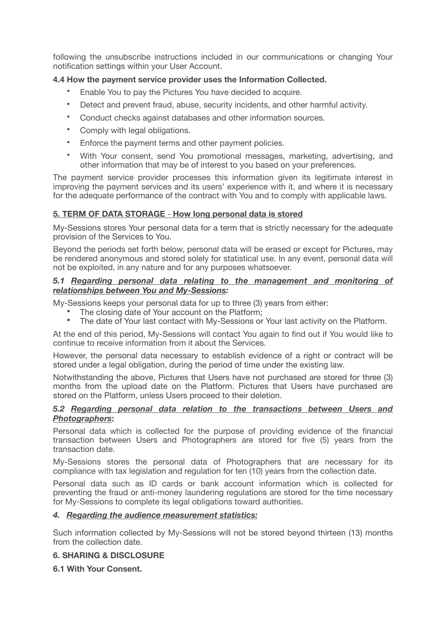following the unsubscribe instructions included in our communications or changing Your notification settings within your User Account.

# **4.4 How the payment service provider uses the Information Collected.**

- Enable You to pay the Pictures You have decided to acquire.
- Detect and prevent fraud, abuse, security incidents, and other harmful activity.
- Conduct checks against databases and other information sources.
- Comply with legal obligations.
- Enforce the payment terms and other payment policies.
- With Your consent, send You promotional messages, marketing, advertising, and other information that may be of interest to you based on your preferences.

The payment service provider processes this information given its legitimate interest in improving the payment services and its users' experience with it, and where it is necessary for the adequate performance of the contract with You and to comply with applicable laws.

# **5. TERM OF DATA STORAGE** - **How long personal data is stored**

My-Sessions stores Your personal data for a term that is strictly necessary for the adequate provision of the Services to You.

Beyond the periods set forth below, personal data will be erased or except for Pictures, may be rendered anonymous and stored solely for statistical use. In any event, personal data will not be exploited, in any nature and for any purposes whatsoever.

## *5.1 Regarding personal data relating to the management and monitoring of relationships between You and My-Sessions:*

My-Sessions keeps your personal data for up to three (3) years from either:

- The closing date of Your account on the Platform;<br>• The date of Your last contact with My-Sessions or
- The date of Your last contact with My-Sessions or Your last activity on the Platform.

At the end of this period, My-Sessions will contact You again to find out if You would like to continue to receive information from it about the Services.

However, the personal data necessary to establish evidence of a right or contract will be stored under a legal obligation, during the period of time under the existing law.

Notwithstanding the above, Pictures that Users have not purchased are stored for three (3) months from the upload date on the Platform. Pictures that Users have purchased are stored on the Platform, unless Users proceed to their deletion.

## *5.2 Regarding personal data relation to the transactions between Users and Photographers***:**

Personal data which is collected for the purpose of providing evidence of the financial transaction between Users and Photographers are stored for five (5) years from the transaction date.

My-Sessions stores the personal data of Photographers that are necessary for its compliance with tax legislation and regulation for ten (10) years from the collection date.

Personal data such as ID cards or bank account information which is collected for preventing the fraud or anti-money laundering regulations are stored for the time necessary for My-Sessions to complete its legal obligations toward authorities.

# *4. Regarding the audience measurement statistics:*

Such information collected by My-Sessions will not be stored beyond thirteen (13) months from the collection date.

# **6. SHARING & DISCLOSURE**

# **6.1 With Your Consent.**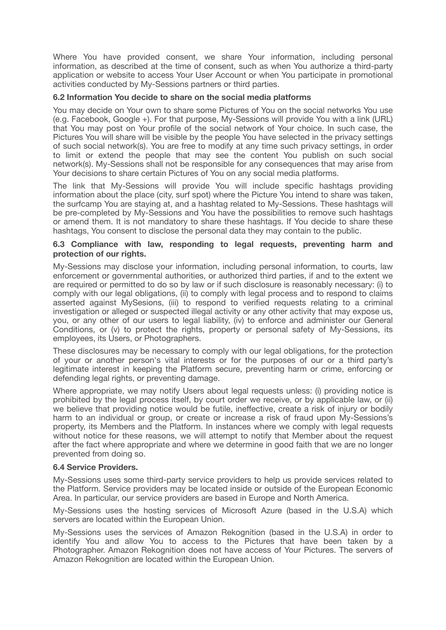Where You have provided consent, we share Your information, including personal information, as described at the time of consent, such as when You authorize a third-party application or website to access Your User Account or when You participate in promotional activities conducted by My-Sessions partners or third parties.

## **6.2 Information You decide to share on the social media platforms**

You may decide on Your own to share some Pictures of You on the social networks You use (e.g. Facebook, Google +). For that purpose, My-Sessions will provide You with a link (URL) that You may post on Your profile of the social network of Your choice. In such case, the Pictures You will share will be visible by the people You have selected in the privacy settings of such social network(s). You are free to modify at any time such privacy settings, in order to limit or extend the people that may see the content You publish on such social network(s). My-Sessions shall not be responsible for any consequences that may arise from Your decisions to share certain Pictures of You on any social media platforms.

The link that My-Sessions will provide You will include specific hashtags providing information about the place (city, surf spot) where the Picture You intend to share was taken, the surfcamp You are staying at, and a hashtag related to My-Sessions. These hashtags will be pre-completed by My-Sessions and You have the possibilities to remove such hashtags or amend them. It is not mandatory to share these hashtags. If You decide to share these hashtags, You consent to disclose the personal data they may contain to the public.

## **6.3 Compliance with law, responding to legal requests, preventing harm and protection of our rights.**

My-Sessions may disclose your information, including personal information, to courts, law enforcement or governmental authorities, or authorized third parties, if and to the extent we are required or permitted to do so by law or if such disclosure is reasonably necessary: (i) to comply with our legal obligations, (ii) to comply with legal process and to respond to claims asserted against MySesions, (iii) to respond to verified requests relating to a criminal investigation or alleged or suspected illegal activity or any other activity that may expose us, you, or any other of our users to legal liability, (iv) to enforce and administer our General Conditions, or (v) to protect the rights, property or personal safety of My-Sessions, its employees, its Users, or Photographers.

These disclosures may be necessary to comply with our legal obligations, for the protection of your or another person's vital interests or for the purposes of our or a third party's legitimate interest in keeping the Platform secure, preventing harm or crime, enforcing or defending legal rights, or preventing damage.

Where appropriate, we may notify Users about legal requests unless: (i) providing notice is prohibited by the legal process itself, by court order we receive, or by applicable law, or (ii) we believe that providing notice would be futile, ineffective, create a risk of injury or bodily harm to an individual or group, or create or increase a risk of fraud upon My-Sessions's property, its Members and the Platform. In instances where we comply with legal requests without notice for these reasons, we will attempt to notify that Member about the request after the fact where appropriate and where we determine in good faith that we are no longer prevented from doing so.

### **6.4 Service Providers.**

My-Sessions uses some third-party service providers to help us provide services related to the Platform. Service providers may be located inside or outside of the European Economic Area. In particular, our service providers are based in Europe and North America.

My-Sessions uses the hosting services of Microsoft Azure (based in the U.S.A) which servers are located within the European Union.

My-Sessions uses the services of Amazon Rekognition (based in the U.S.A) in order to identify You and allow You to access to the Pictures that have been taken by a Photographer. Amazon Rekognition does not have access of Your Pictures. The servers of Amazon Rekognition are located within the European Union.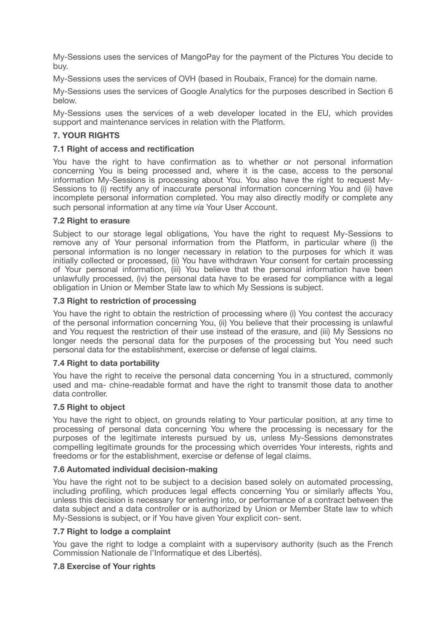My-Sessions uses the services of MangoPay for the payment of the Pictures You decide to buy.

My-Sessions uses the services of OVH (based in Roubaix, France) for the domain name.

My-Sessions uses the services of Google Analytics for the purposes described in Section 6 below.

My-Sessions uses the services of a web developer located in the EU, which provides support and maintenance services in relation with the Platform.

## **7. YOUR RIGHTS**

## **7.1 Right of access and rectification**

You have the right to have confirmation as to whether or not personal information concerning You is being processed and, where it is the case, access to the personal information My-Sessions is processing about You. You also have the right to request My-Sessions to (i) rectify any of inaccurate personal information concerning You and (ii) have incomplete personal information completed. You may also directly modify or complete any such personal information at any time *via* Your User Account.

## **7.2 Right to erasure**

Subject to our storage legal obligations, You have the right to request My-Sessions to remove any of Your personal information from the Platform, in particular where (i) the personal information is no longer necessary in relation to the purposes for which it was initially collected or processed, (ii) You have withdrawn Your consent for certain processing of Your personal information, (iii) You believe that the personal information have been unlawfully processed, (iv) the personal data have to be erased for compliance with a legal obligation in Union or Member State law to which My Sessions is subject.

## **7.3 Right to restriction of processing**

You have the right to obtain the restriction of processing where (i) You contest the accuracy of the personal information concerning You, (ii) You believe that their processing is unlawful and You request the restriction of their use instead of the erasure, and (iii) My Sessions no longer needs the personal data for the purposes of the processing but You need such personal data for the establishment, exercise or defense of legal claims.

### **7.4 Right to data portability**

You have the right to receive the personal data concerning You in a structured, commonly used and ma- chine-readable format and have the right to transmit those data to another data controller.

### **7.5 Right to object**

You have the right to object, on grounds relating to Your particular position, at any time to processing of personal data concerning You where the processing is necessary for the purposes of the legitimate interests pursued by us, unless My-Sessions demonstrates compelling legitimate grounds for the processing which overrides Your interests, rights and freedoms or for the establishment, exercise or defense of legal claims.

### **7.6 Automated individual decision-making**

You have the right not to be subject to a decision based solely on automated processing, including profiling, which produces legal effects concerning You or similarly affects You, unless this decision is necessary for entering into, or performance of a contract between the data subject and a data controller or is authorized by Union or Member State law to which My-Sessions is subject, or if You have given Your explicit con- sent.

### **7.7 Right to lodge a complaint**

You gave the right to lodge a complaint with a supervisory authority (such as the French Commission Nationale de l'Informatique et des Libertés).

### **7.8 Exercise of Your rights**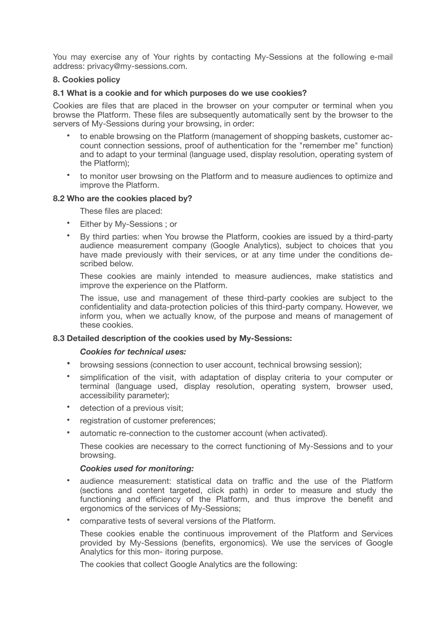You may exercise any of Your rights by contacting My-Sessions at the following e-mail address: privacy@my-sessions.com.

## **8. Cookies policy**

## **8.1 What is a cookie and for which purposes do we use cookies?**

Cookies are files that are placed in the browser on your computer or terminal when you browse the Platform. These files are subsequently automatically sent by the browser to the servers of My-Sessions during your browsing, in order:

- to enable browsing on the Platform (management of shopping baskets, customer account connection sessions, proof of authentication for the "remember me" function) and to adapt to your terminal (language used, display resolution, operating system of the Platform);
- to monitor user browsing on the Platform and to measure audiences to optimize and improve the Platform.

### **8.2 Who are the cookies placed by?**

These files are placed:

- Either by My-Sessions ; or
- By third parties: when You browse the Platform, cookies are issued by a third-party audience measurement company (Google Analytics), subject to choices that you have made previously with their services, or at any time under the conditions described below.

These cookies are mainly intended to measure audiences, make statistics and improve the experience on the Platform.

The issue, use and management of these third-party cookies are subject to the confidentiality and data-protection policies of this third-party company. However, we inform you, when we actually know, of the purpose and means of management of these cookies.

### **8.3 Detailed description of the cookies used by My-Sessions:**

### *Cookies for technical uses:*

- browsing sessions (connection to user account, technical browsing session);
- simplification of the visit, with adaptation of display criteria to your computer or terminal (language used, display resolution, operating system, browser used, accessibility parameter);
- detection of a previous visit;
- registration of customer preferences;
- automatic re-connection to the customer account (when activated).

These cookies are necessary to the correct functioning of My-Sessions and to your browsing.

### *Cookies used for monitoring:*

- audience measurement: statistical data on traffic and the use of the Platform (sections and content targeted, click path) in order to measure and study the functioning and efficiency of the Platform, and thus improve the benefit and ergonomics of the services of My-Sessions;
- comparative tests of several versions of the Platform.

These cookies enable the continuous improvement of the Platform and Services provided by My-Sessions (benefits, ergonomics). We use the services of Google Analytics for this mon- itoring purpose.

The cookies that collect Google Analytics are the following: